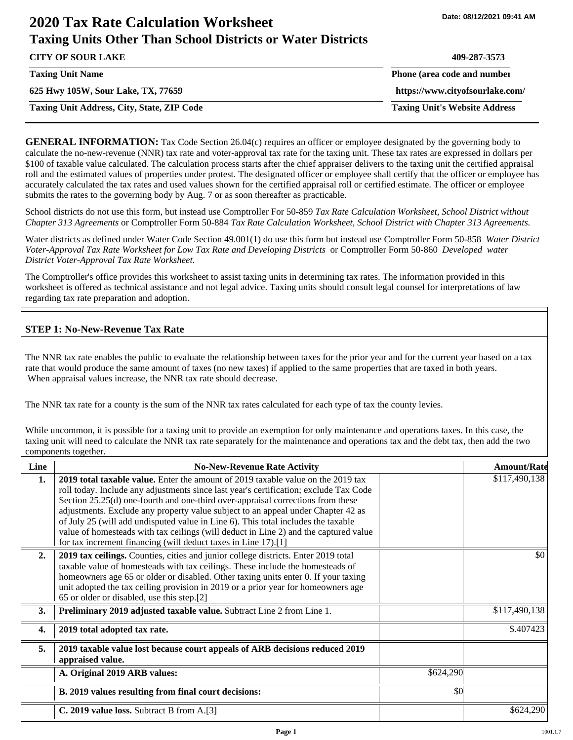# **2020 Tax Rate Calculation Worksheet Taxing Units Other Than School Districts or Water Districts**

| <b>CITY OF SOUR LAKE</b>                          | 409-287-3573                         |
|---------------------------------------------------|--------------------------------------|
| <b>Taxing Unit Name</b>                           | Phone (area code and number          |
| 625 Hwy 105W, Sour Lake, TX, 77659                | https://www.cityofsourlake.com/      |
| <b>Taxing Unit Address, City, State, ZIP Code</b> | <b>Taxing Unit's Website Address</b> |

**GENERAL INFORMATION:** Tax Code Section 26.04(c) requires an officer or employee designated by the governing body to calculate the no-new-revenue (NNR) tax rate and voter-approval tax rate for the taxing unit. These tax rates are expressed in dollars per \$100 of taxable value calculated. The calculation process starts after the chief appraiser delivers to the taxing unit the certified appraisal roll and the estimated values of properties under protest. The designated officer or employee shall certify that the officer or employee has accurately calculated the tax rates and used values shown for the certified appraisal roll or certified estimate. The officer or employee submits the rates to the governing body by Aug. 7 or as soon thereafter as practicable.

School districts do not use this form, but instead use Comptroller For 50-859 *Tax Rate Calculation Worksheet, School District without Chapter 313 Agreements* or Comptroller Form 50-884 *Tax Rate Calculation Worksheet, School District with Chapter 313 Agreements.*

Water districts as defined under Water Code Section 49.001(1) do use this form but instead use Comptroller Form 50-858 *Water District Voter-Approval Tax Rate Worksheet for Low Tax Rate and Developing Districts* or Comptroller Form 50-860 *Developed water District Voter-Approval Tax Rate Worksheet.*

The Comptroller's office provides this worksheet to assist taxing units in determining tax rates. The information provided in this worksheet is offered as technical assistance and not legal advice. Taxing units should consult legal counsel for interpretations of law regarding tax rate preparation and adoption.

## **STEP 1: No-New-Revenue Tax Rate**

The NNR tax rate enables the public to evaluate the relationship between taxes for the prior year and for the current year based on a tax rate that would produce the same amount of taxes (no new taxes) if applied to the same properties that are taxed in both years. When appraisal values increase, the NNR tax rate should decrease.

The NNR tax rate for a county is the sum of the NNR tax rates calculated for each type of tax the county levies.

While uncommon, it is possible for a taxing unit to provide an exemption for only maintenance and operations taxes. In this case, the taxing unit will need to calculate the NNR tax rate separately for the maintenance and operations tax and the debt tax, then add the two components together.

| Line             | <b>No-New-Revenue Rate Activity</b>                                                                                                                                                                                                                                                                                                                                                                                                                                                                                                                                                             |           | <b>Amount/Rate</b> |
|------------------|-------------------------------------------------------------------------------------------------------------------------------------------------------------------------------------------------------------------------------------------------------------------------------------------------------------------------------------------------------------------------------------------------------------------------------------------------------------------------------------------------------------------------------------------------------------------------------------------------|-----------|--------------------|
| 1.               | 2019 total taxable value. Enter the amount of 2019 taxable value on the 2019 tax<br>roll today. Include any adjustments since last year's certification; exclude Tax Code<br>Section 25.25(d) one-fourth and one-third over-appraisal corrections from these<br>adjustments. Exclude any property value subject to an appeal under Chapter 42 as<br>of July 25 (will add undisputed value in Line 6). This total includes the taxable<br>value of homesteads with tax ceilings (will deduct in Line 2) and the captured value<br>for tax increment financing (will deduct taxes in Line 17).[1] |           | \$117,490,138      |
| 2.               | 2019 tax ceilings. Counties, cities and junior college districts. Enter 2019 total<br>taxable value of homesteads with tax ceilings. These include the homesteads of<br>homeowners age 65 or older or disabled. Other taxing units enter 0. If your taxing<br>unit adopted the tax ceiling provision in 2019 or a prior year for homeowners age<br>65 or older or disabled, use this step.[2]                                                                                                                                                                                                   |           | \$0                |
| 3.               | Preliminary 2019 adjusted taxable value. Subtract Line 2 from Line 1.                                                                                                                                                                                                                                                                                                                                                                                                                                                                                                                           |           | \$117,490,138      |
| $\overline{4}$ . | 2019 total adopted tax rate.                                                                                                                                                                                                                                                                                                                                                                                                                                                                                                                                                                    |           | \$.407423          |
| 5.               | 2019 taxable value lost because court appeals of ARB decisions reduced 2019<br>appraised value.                                                                                                                                                                                                                                                                                                                                                                                                                                                                                                 |           |                    |
|                  | A. Original 2019 ARB values:                                                                                                                                                                                                                                                                                                                                                                                                                                                                                                                                                                    | \$624,290 |                    |
|                  | B. 2019 values resulting from final court decisions:                                                                                                                                                                                                                                                                                                                                                                                                                                                                                                                                            | \$0       |                    |
|                  | C. 2019 value loss. Subtract B from A.[3]                                                                                                                                                                                                                                                                                                                                                                                                                                                                                                                                                       |           | \$624,290          |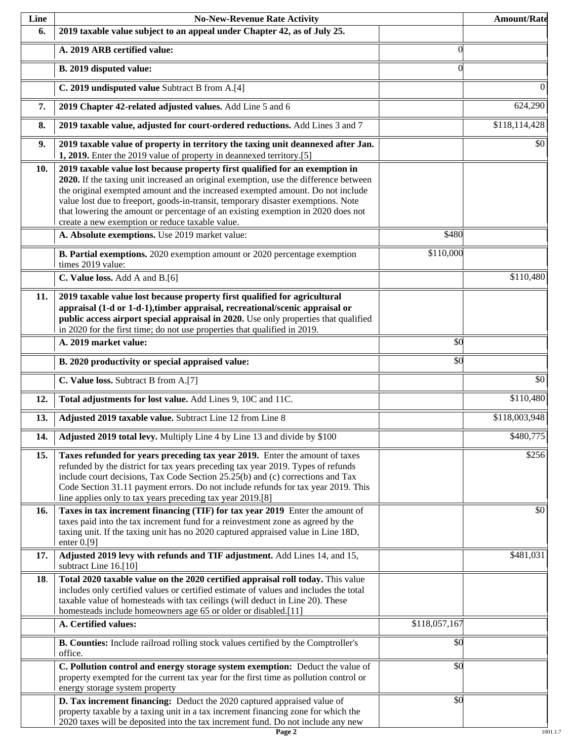| Line | <b>No-New-Revenue Rate Activity</b>                                                                                                                                                                                                                                                                                                                                                                                                                                                |               | <b>Amount/Rate</b> |
|------|------------------------------------------------------------------------------------------------------------------------------------------------------------------------------------------------------------------------------------------------------------------------------------------------------------------------------------------------------------------------------------------------------------------------------------------------------------------------------------|---------------|--------------------|
| 6.   | 2019 taxable value subject to an appeal under Chapter 42, as of July 25.                                                                                                                                                                                                                                                                                                                                                                                                           |               |                    |
|      | A. 2019 ARB certified value:                                                                                                                                                                                                                                                                                                                                                                                                                                                       | $\theta$      |                    |
|      | B. 2019 disputed value:                                                                                                                                                                                                                                                                                                                                                                                                                                                            | $\Omega$      |                    |
|      | C. 2019 undisputed value Subtract B from A.[4]                                                                                                                                                                                                                                                                                                                                                                                                                                     |               | $\theta$           |
| 7.   | 2019 Chapter 42-related adjusted values. Add Line 5 and 6                                                                                                                                                                                                                                                                                                                                                                                                                          |               | 624,290            |
| 8.   | 2019 taxable value, adjusted for court-ordered reductions. Add Lines 3 and 7                                                                                                                                                                                                                                                                                                                                                                                                       |               | \$118,114,428      |
| 9.   | 2019 taxable value of property in territory the taxing unit deannexed after Jan.<br>1, 2019. Enter the 2019 value of property in deannexed territory.[5]                                                                                                                                                                                                                                                                                                                           |               | \$0                |
| 10.  | 2019 taxable value lost because property first qualified for an exemption in<br>2020. If the taxing unit increased an original exemption, use the difference between<br>the original exempted amount and the increased exempted amount. Do not include<br>value lost due to freeport, goods-in-transit, temporary disaster exemptions. Note<br>that lowering the amount or percentage of an existing exemption in 2020 does not<br>create a new exemption or reduce taxable value. |               |                    |
|      | A. Absolute exemptions. Use 2019 market value:                                                                                                                                                                                                                                                                                                                                                                                                                                     | \$480         |                    |
|      | B. Partial exemptions. 2020 exemption amount or 2020 percentage exemption<br>times 2019 value:                                                                                                                                                                                                                                                                                                                                                                                     | \$110,000     |                    |
|      | C. Value loss. Add A and B.[6]                                                                                                                                                                                                                                                                                                                                                                                                                                                     |               | \$110,480          |
| 11.  | 2019 taxable value lost because property first qualified for agricultural<br>appraisal (1-d or 1-d-1), timber appraisal, recreational/scenic appraisal or<br>public access airport special appraisal in 2020. Use only properties that qualified<br>in 2020 for the first time; do not use properties that qualified in 2019.                                                                                                                                                      |               |                    |
|      | A. 2019 market value:                                                                                                                                                                                                                                                                                                                                                                                                                                                              | \$0           |                    |
|      | B. 2020 productivity or special appraised value:                                                                                                                                                                                                                                                                                                                                                                                                                                   | \$0           |                    |
|      | C. Value loss. Subtract B from A.[7]                                                                                                                                                                                                                                                                                                                                                                                                                                               |               | $\overline{50}$    |
| 12.  | Total adjustments for lost value. Add Lines 9, 10C and 11C.                                                                                                                                                                                                                                                                                                                                                                                                                        |               | \$110,480          |
| 13.  | Adjusted 2019 taxable value. Subtract Line 12 from Line 8                                                                                                                                                                                                                                                                                                                                                                                                                          |               | \$118,003,948      |
| 14.  | Adjusted 2019 total levy. Multiply Line 4 by Line 13 and divide by \$100                                                                                                                                                                                                                                                                                                                                                                                                           |               | \$480,775          |
| 15.  | Taxes refunded for years preceding tax year 2019. Enter the amount of taxes<br>refunded by the district for tax years preceding tax year 2019. Types of refunds<br>include court decisions, Tax Code Section 25.25(b) and (c) corrections and Tax<br>Code Section 31.11 payment errors. Do not include refunds for tax year 2019. This<br>line applies only to tax years preceding tax year 2019.[8]                                                                               |               | \$256              |
| 16.  | Taxes in tax increment financing (TIF) for tax year 2019 Enter the amount of<br>taxes paid into the tax increment fund for a reinvestment zone as agreed by the<br>taxing unit. If the taxing unit has no 2020 captured appraised value in Line 18D,<br>enter $0.9$ ]                                                                                                                                                                                                              |               | \$0                |
| 17.  | Adjusted 2019 levy with refunds and TIF adjustment. Add Lines 14, and 15,<br>subtract Line 16.[10]                                                                                                                                                                                                                                                                                                                                                                                 |               | \$481,031          |
| 18.  | Total 2020 taxable value on the 2020 certified appraisal roll today. This value<br>includes only certified values or certified estimate of values and includes the total<br>taxable value of homesteads with tax ceilings (will deduct in Line 20). These<br>homesteads include homeowners age 65 or older or disabled.[11]                                                                                                                                                        |               |                    |
|      | A. Certified values:                                                                                                                                                                                                                                                                                                                                                                                                                                                               | \$118,057,167 |                    |
|      | B. Counties: Include railroad rolling stock values certified by the Comptroller's<br>office.                                                                                                                                                                                                                                                                                                                                                                                       | \$0           |                    |
|      | C. Pollution control and energy storage system exemption: Deduct the value of<br>property exempted for the current tax year for the first time as pollution control or<br>energy storage system property                                                                                                                                                                                                                                                                           | \$0           |                    |
|      | D. Tax increment financing: Deduct the 2020 captured appraised value of<br>property taxable by a taxing unit in a tax increment financing zone for which the<br>2020 taxes will be deposited into the tax increment fund. Do not include any new                                                                                                                                                                                                                                   | \$0           |                    |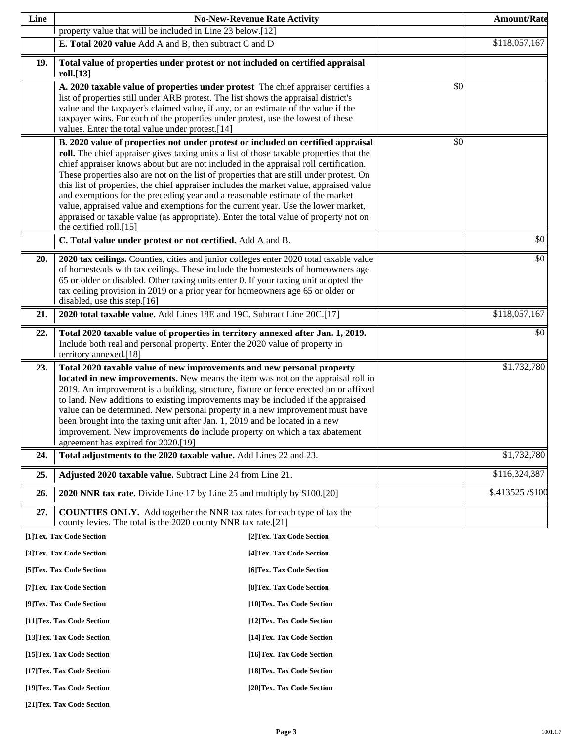| Line |                                                                                                                                                                                                                                                                                                                                                                                                                                                                                                                                                                                                                                                                                                                                                                                                                       | <b>No-New-Revenue Rate Activity</b> |     | <b>Amount/Rate</b> |
|------|-----------------------------------------------------------------------------------------------------------------------------------------------------------------------------------------------------------------------------------------------------------------------------------------------------------------------------------------------------------------------------------------------------------------------------------------------------------------------------------------------------------------------------------------------------------------------------------------------------------------------------------------------------------------------------------------------------------------------------------------------------------------------------------------------------------------------|-------------------------------------|-----|--------------------|
|      | property value that will be included in Line 23 below.[12]                                                                                                                                                                                                                                                                                                                                                                                                                                                                                                                                                                                                                                                                                                                                                            |                                     |     |                    |
|      | E. Total 2020 value Add A and B, then subtract C and D                                                                                                                                                                                                                                                                                                                                                                                                                                                                                                                                                                                                                                                                                                                                                                |                                     |     | \$118,057,167      |
| 19.  | Total value of properties under protest or not included on certified appraisal<br>roll.[13]                                                                                                                                                                                                                                                                                                                                                                                                                                                                                                                                                                                                                                                                                                                           |                                     |     |                    |
|      | A. 2020 taxable value of properties under protest The chief appraiser certifies a<br>list of properties still under ARB protest. The list shows the appraisal district's<br>value and the taxpayer's claimed value, if any, or an estimate of the value if the<br>taxpayer wins. For each of the properties under protest, use the lowest of these<br>values. Enter the total value under protest.[14]                                                                                                                                                                                                                                                                                                                                                                                                                |                                     | \$0 |                    |
|      | B. 2020 value of properties not under protest or included on certified appraisal<br>roll. The chief appraiser gives taxing units a list of those taxable properties that the<br>chief appraiser knows about but are not included in the appraisal roll certification.<br>These properties also are not on the list of properties that are still under protest. On<br>this list of properties, the chief appraiser includes the market value, appraised value<br>and exemptions for the preceding year and a reasonable estimate of the market<br>value, appraised value and exemptions for the current year. Use the lower market,<br>appraised or taxable value (as appropriate). Enter the total value of property not on<br>the certified roll.[15]<br>C. Total value under protest or not certified. Add A and B. |                                     | \$0 | \$0                |
| 20.  | 2020 tax ceilings. Counties, cities and junior colleges enter 2020 total taxable value<br>of homesteads with tax ceilings. These include the homesteads of homeowners age<br>65 or older or disabled. Other taxing units enter 0. If your taxing unit adopted the<br>tax ceiling provision in 2019 or a prior year for homeowners age 65 or older or                                                                                                                                                                                                                                                                                                                                                                                                                                                                  |                                     |     | \$0                |
| 21.  | disabled, use this step.[16]<br>2020 total taxable value. Add Lines 18E and 19C. Subtract Line 20C.[17]                                                                                                                                                                                                                                                                                                                                                                                                                                                                                                                                                                                                                                                                                                               |                                     |     | \$118,057,167      |
|      |                                                                                                                                                                                                                                                                                                                                                                                                                                                                                                                                                                                                                                                                                                                                                                                                                       |                                     |     |                    |
| 22.  | Total 2020 taxable value of properties in territory annexed after Jan. 1, 2019.<br>Include both real and personal property. Enter the 2020 value of property in<br>territory annexed.[18]                                                                                                                                                                                                                                                                                                                                                                                                                                                                                                                                                                                                                             |                                     |     | \$0                |
| 23.  | Total 2020 taxable value of new improvements and new personal property<br>located in new improvements. New means the item was not on the appraisal roll in<br>2019. An improvement is a building, structure, fixture or fence erected on or affixed<br>to land. New additions to existing improvements may be included if the appraised<br>value can be determined. New personal property in a new improvement must have<br>been brought into the taxing unit after Jan. 1, 2019 and be located in a new<br>improvement. New improvements <b>do</b> include property on which a tax abatement<br>agreement has expired for 2020.[19]                                                                                                                                                                                  |                                     |     | \$1,732,780        |
| 24.  | Total adjustments to the 2020 taxable value. Add Lines 22 and 23.                                                                                                                                                                                                                                                                                                                                                                                                                                                                                                                                                                                                                                                                                                                                                     |                                     |     | \$1,732,780        |
| 25.  | Adjusted 2020 taxable value. Subtract Line 24 from Line 21.                                                                                                                                                                                                                                                                                                                                                                                                                                                                                                                                                                                                                                                                                                                                                           |                                     |     | \$116,324,387      |
| 26.  | 2020 NNR tax rate. Divide Line 17 by Line 25 and multiply by \$100.[20]                                                                                                                                                                                                                                                                                                                                                                                                                                                                                                                                                                                                                                                                                                                                               |                                     |     | \$.413525 / \$100  |
| 27.  | <b>COUNTIES ONLY.</b> Add together the NNR tax rates for each type of tax the<br>county levies. The total is the 2020 county NNR tax rate.[21]                                                                                                                                                                                                                                                                                                                                                                                                                                                                                                                                                                                                                                                                        |                                     |     |                    |
|      | [1]Tex. Tax Code Section                                                                                                                                                                                                                                                                                                                                                                                                                                                                                                                                                                                                                                                                                                                                                                                              | [2] Tex. Tax Code Section           |     |                    |
|      | [3]Tex. Tax Code Section                                                                                                                                                                                                                                                                                                                                                                                                                                                                                                                                                                                                                                                                                                                                                                                              | [4] Tex. Tax Code Section           |     |                    |
|      | [5] Tex. Tax Code Section                                                                                                                                                                                                                                                                                                                                                                                                                                                                                                                                                                                                                                                                                                                                                                                             | [6]Tex. Tax Code Section            |     |                    |
|      | [7] Tex. Tax Code Section                                                                                                                                                                                                                                                                                                                                                                                                                                                                                                                                                                                                                                                                                                                                                                                             | [8] Tex. Tax Code Section           |     |                    |
|      | [9]Tex. Tax Code Section                                                                                                                                                                                                                                                                                                                                                                                                                                                                                                                                                                                                                                                                                                                                                                                              | [10]Tex. Tax Code Section           |     |                    |
|      | [11] Tex. Tax Code Section                                                                                                                                                                                                                                                                                                                                                                                                                                                                                                                                                                                                                                                                                                                                                                                            | [12] Tex. Tax Code Section          |     |                    |
|      | [13] Tex. Tax Code Section                                                                                                                                                                                                                                                                                                                                                                                                                                                                                                                                                                                                                                                                                                                                                                                            | [14] Tex. Tax Code Section          |     |                    |
|      | [15] Tex. Tax Code Section                                                                                                                                                                                                                                                                                                                                                                                                                                                                                                                                                                                                                                                                                                                                                                                            | [16] Tex. Tax Code Section          |     |                    |
|      | [17] Tex. Tax Code Section                                                                                                                                                                                                                                                                                                                                                                                                                                                                                                                                                                                                                                                                                                                                                                                            | [18] Tex. Tax Code Section          |     |                    |
|      | [19]Tex. Tax Code Section                                                                                                                                                                                                                                                                                                                                                                                                                                                                                                                                                                                                                                                                                                                                                                                             | [20]Tex. Tax Code Section           |     |                    |

**[21]Tex. Tax Code Section**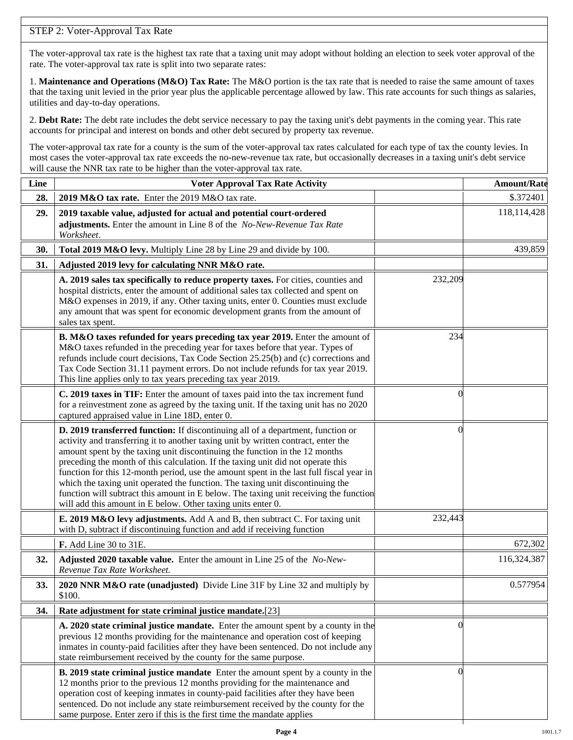## STEP 2: Voter-Approval Tax Rate

The voter-approval tax rate is the highest tax rate that a taxing unit may adopt without holding an election to seek voter approval of the rate. The voter-approval tax rate is split into two separate rates:

1. **Maintenance and Operations (M&O) Tax Rate:** The M&O portion is the tax rate that is needed to raise the same amount of taxes that the taxing unit levied in the prior year plus the applicable percentage allowed by law. This rate accounts for such things as salaries, utilities and day-to-day operations.

2. **Debt Rate:** The debt rate includes the debt service necessary to pay the taxing unit's debt payments in the coming year. This rate accounts for principal and interest on bonds and other debt secured by property tax revenue.

The voter-approval tax rate for a county is the sum of the voter-approval tax rates calculated for each type of tax the county levies. In most cases the voter-approval tax rate exceeds the no-new-revenue tax rate, but occasionally decreases in a taxing unit's debt service will cause the NNR tax rate to be higher than the voter-approval tax rate.

| Line | <b>Voter Approval Tax Rate Activity</b>                                                                                                                                                                                                                                                                                                                                                                                                                                                                                                                                                                                                                                        |          | <b>Amount/Rate</b> |
|------|--------------------------------------------------------------------------------------------------------------------------------------------------------------------------------------------------------------------------------------------------------------------------------------------------------------------------------------------------------------------------------------------------------------------------------------------------------------------------------------------------------------------------------------------------------------------------------------------------------------------------------------------------------------------------------|----------|--------------------|
| 28.  | 2019 M&O tax rate. Enter the 2019 M&O tax rate.                                                                                                                                                                                                                                                                                                                                                                                                                                                                                                                                                                                                                                |          | \$.372401          |
| 29.  | 2019 taxable value, adjusted for actual and potential court-ordered<br>adjustments. Enter the amount in Line 8 of the No-New-Revenue Tax Rate<br>Worksheet.                                                                                                                                                                                                                                                                                                                                                                                                                                                                                                                    |          | 118,114,428        |
| 30.  | Total 2019 M&O levy. Multiply Line 28 by Line 29 and divide by 100.                                                                                                                                                                                                                                                                                                                                                                                                                                                                                                                                                                                                            |          | 439,859            |
| 31.  | Adjusted 2019 levy for calculating NNR M&O rate.                                                                                                                                                                                                                                                                                                                                                                                                                                                                                                                                                                                                                               |          |                    |
|      | A. 2019 sales tax specifically to reduce property taxes. For cities, counties and<br>hospital districts, enter the amount of additional sales tax collected and spent on<br>M&O expenses in 2019, if any. Other taxing units, enter 0. Counties must exclude<br>any amount that was spent for economic development grants from the amount of<br>sales tax spent.                                                                                                                                                                                                                                                                                                               | 232,209  |                    |
|      | B. M&O taxes refunded for years preceding tax year 2019. Enter the amount of<br>M&O taxes refunded in the preceding year for taxes before that year. Types of<br>refunds include court decisions, Tax Code Section 25.25(b) and (c) corrections and<br>Tax Code Section 31.11 payment errors. Do not include refunds for tax year 2019.<br>This line applies only to tax years preceding tax year 2019.                                                                                                                                                                                                                                                                        | 234      |                    |
|      | C. 2019 taxes in TIF: Enter the amount of taxes paid into the tax increment fund<br>for a reinvestment zone as agreed by the taxing unit. If the taxing unit has no 2020<br>captured appraised value in Line 18D, enter 0.                                                                                                                                                                                                                                                                                                                                                                                                                                                     | $\theta$ |                    |
|      | D. 2019 transferred function: If discontinuing all of a department, function or<br>activity and transferring it to another taxing unit by written contract, enter the<br>amount spent by the taxing unit discontinuing the function in the 12 months<br>preceding the month of this calculation. If the taxing unit did not operate this<br>function for this 12-month period, use the amount spent in the last full fiscal year in<br>which the taxing unit operated the function. The taxing unit discontinuing the<br>function will subtract this amount in E below. The taxing unit receiving the function<br>will add this amount in E below. Other taxing units enter 0. | $\left($ |                    |
|      | E. 2019 M&O levy adjustments. Add A and B, then subtract C. For taxing unit<br>with D, subtract if discontinuing function and add if receiving function                                                                                                                                                                                                                                                                                                                                                                                                                                                                                                                        | 232,443  |                    |
|      | F. Add Line 30 to 31E.                                                                                                                                                                                                                                                                                                                                                                                                                                                                                                                                                                                                                                                         |          | 672,302            |
| 32.  | Adjusted 2020 taxable value. Enter the amount in Line 25 of the No-New-<br>Revenue Tax Rate Worksheet.                                                                                                                                                                                                                                                                                                                                                                                                                                                                                                                                                                         |          | 116,324,387        |
| 33.  | 2020 NNR M&O rate (unadjusted) Divide Line 31F by Line 32 and multiply by<br>\$100.                                                                                                                                                                                                                                                                                                                                                                                                                                                                                                                                                                                            |          | 0.577954           |
| 34.  | Rate adjustment for state criminal justice mandate.[23]                                                                                                                                                                                                                                                                                                                                                                                                                                                                                                                                                                                                                        |          |                    |
|      | A. 2020 state criminal justice mandate. Enter the amount spent by a county in the<br>previous 12 months providing for the maintenance and operation cost of keeping<br>inmates in county-paid facilities after they have been sentenced. Do not include any<br>state reimbursement received by the county for the same purpose.                                                                                                                                                                                                                                                                                                                                                | $\theta$ |                    |
|      | B. 2019 state criminal justice mandate Enter the amount spent by a county in the<br>12 months prior to the previous 12 months providing for the maintenance and<br>operation cost of keeping inmates in county-paid facilities after they have been<br>sentenced. Do not include any state reimbursement received by the county for the<br>same purpose. Enter zero if this is the first time the mandate applies                                                                                                                                                                                                                                                              | $\Omega$ |                    |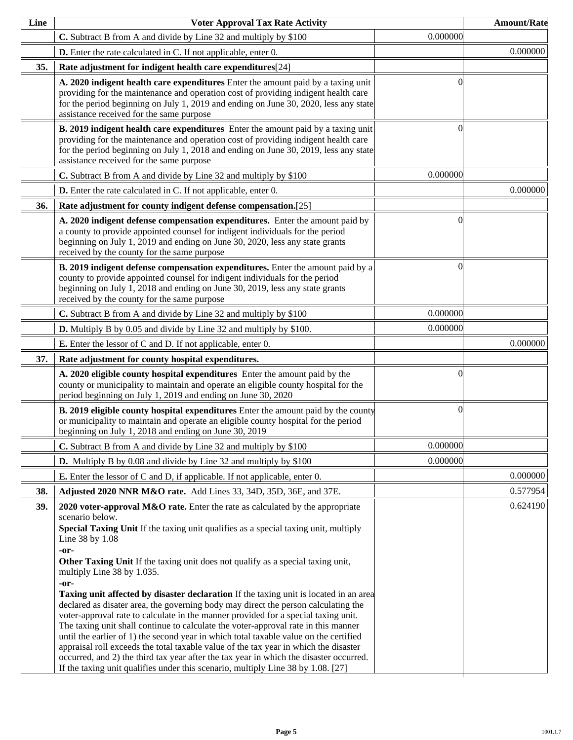| Line | <b>Voter Approval Tax Rate Activity</b>                                                                                                                                                                                                                                                                                                                                                                                                                                                                                                                                                                                                                                                                                                                                                                                                                                                                                                                                                                                                                                      |          | <b>Amount/Rate</b> |
|------|------------------------------------------------------------------------------------------------------------------------------------------------------------------------------------------------------------------------------------------------------------------------------------------------------------------------------------------------------------------------------------------------------------------------------------------------------------------------------------------------------------------------------------------------------------------------------------------------------------------------------------------------------------------------------------------------------------------------------------------------------------------------------------------------------------------------------------------------------------------------------------------------------------------------------------------------------------------------------------------------------------------------------------------------------------------------------|----------|--------------------|
|      | C. Subtract B from A and divide by Line 32 and multiply by \$100                                                                                                                                                                                                                                                                                                                                                                                                                                                                                                                                                                                                                                                                                                                                                                                                                                                                                                                                                                                                             | 0.000000 |                    |
|      | <b>D.</b> Enter the rate calculated in C. If not applicable, enter 0.                                                                                                                                                                                                                                                                                                                                                                                                                                                                                                                                                                                                                                                                                                                                                                                                                                                                                                                                                                                                        |          | 0.000000           |
| 35.  | Rate adjustment for indigent health care expenditures[24]                                                                                                                                                                                                                                                                                                                                                                                                                                                                                                                                                                                                                                                                                                                                                                                                                                                                                                                                                                                                                    |          |                    |
|      | A. 2020 indigent health care expenditures Enter the amount paid by a taxing unit<br>providing for the maintenance and operation cost of providing indigent health care<br>for the period beginning on July 1, 2019 and ending on June 30, 2020, less any state<br>assistance received for the same purpose                                                                                                                                                                                                                                                                                                                                                                                                                                                                                                                                                                                                                                                                                                                                                                   | ſ        |                    |
|      | B. 2019 indigent health care expenditures Enter the amount paid by a taxing unit<br>providing for the maintenance and operation cost of providing indigent health care<br>for the period beginning on July 1, 2018 and ending on June 30, 2019, less any state<br>assistance received for the same purpose                                                                                                                                                                                                                                                                                                                                                                                                                                                                                                                                                                                                                                                                                                                                                                   | 0        |                    |
|      | C. Subtract B from A and divide by Line 32 and multiply by \$100                                                                                                                                                                                                                                                                                                                                                                                                                                                                                                                                                                                                                                                                                                                                                                                                                                                                                                                                                                                                             | 0.000000 |                    |
|      | <b>D.</b> Enter the rate calculated in C. If not applicable, enter 0.                                                                                                                                                                                                                                                                                                                                                                                                                                                                                                                                                                                                                                                                                                                                                                                                                                                                                                                                                                                                        |          | 0.000000           |
| 36.  | Rate adjustment for county indigent defense compensation.[25]                                                                                                                                                                                                                                                                                                                                                                                                                                                                                                                                                                                                                                                                                                                                                                                                                                                                                                                                                                                                                |          |                    |
|      | A. 2020 indigent defense compensation expenditures. Enter the amount paid by<br>a county to provide appointed counsel for indigent individuals for the period<br>beginning on July 1, 2019 and ending on June 30, 2020, less any state grants<br>received by the county for the same purpose                                                                                                                                                                                                                                                                                                                                                                                                                                                                                                                                                                                                                                                                                                                                                                                 | 0        |                    |
|      | B. 2019 indigent defense compensation expenditures. Enter the amount paid by a<br>county to provide appointed counsel for indigent individuals for the period<br>beginning on July 1, 2018 and ending on June 30, 2019, less any state grants<br>received by the county for the same purpose                                                                                                                                                                                                                                                                                                                                                                                                                                                                                                                                                                                                                                                                                                                                                                                 | 0        |                    |
|      | C. Subtract B from A and divide by Line 32 and multiply by \$100                                                                                                                                                                                                                                                                                                                                                                                                                                                                                                                                                                                                                                                                                                                                                                                                                                                                                                                                                                                                             | 0.000000 |                    |
|      | <b>D.</b> Multiply B by 0.05 and divide by Line 32 and multiply by \$100.                                                                                                                                                                                                                                                                                                                                                                                                                                                                                                                                                                                                                                                                                                                                                                                                                                                                                                                                                                                                    | 0.000000 |                    |
|      | <b>E.</b> Enter the lessor of C and D. If not applicable, enter 0.                                                                                                                                                                                                                                                                                                                                                                                                                                                                                                                                                                                                                                                                                                                                                                                                                                                                                                                                                                                                           |          | 0.000000           |
| 37.  | Rate adjustment for county hospital expenditures.                                                                                                                                                                                                                                                                                                                                                                                                                                                                                                                                                                                                                                                                                                                                                                                                                                                                                                                                                                                                                            |          |                    |
|      | A. 2020 eligible county hospital expenditures Enter the amount paid by the<br>county or municipality to maintain and operate an eligible county hospital for the<br>period beginning on July 1, 2019 and ending on June 30, 2020                                                                                                                                                                                                                                                                                                                                                                                                                                                                                                                                                                                                                                                                                                                                                                                                                                             | 0        |                    |
|      | <b>B. 2019 eligible county hospital expenditures</b> Enter the amount paid by the county<br>or municipality to maintain and operate an eligible county hospital for the period<br>beginning on July 1, 2018 and ending on June 30, 2019                                                                                                                                                                                                                                                                                                                                                                                                                                                                                                                                                                                                                                                                                                                                                                                                                                      | $\Omega$ |                    |
|      | C. Subtract B from A and divide by Line 32 and multiply by \$100                                                                                                                                                                                                                                                                                                                                                                                                                                                                                                                                                                                                                                                                                                                                                                                                                                                                                                                                                                                                             | 0.000000 |                    |
|      | <b>D.</b> Multiply B by 0.08 and divide by Line 32 and multiply by \$100                                                                                                                                                                                                                                                                                                                                                                                                                                                                                                                                                                                                                                                                                                                                                                                                                                                                                                                                                                                                     | 0.000000 |                    |
|      | <b>E.</b> Enter the lessor of C and D, if applicable. If not applicable, enter 0.                                                                                                                                                                                                                                                                                                                                                                                                                                                                                                                                                                                                                                                                                                                                                                                                                                                                                                                                                                                            |          | 0.000000           |
| 38.  | Adjusted 2020 NNR M&O rate. Add Lines 33, 34D, 35D, 36E, and 37E.                                                                                                                                                                                                                                                                                                                                                                                                                                                                                                                                                                                                                                                                                                                                                                                                                                                                                                                                                                                                            |          | 0.577954           |
| 39.  | 2020 voter-approval M&O rate. Enter the rate as calculated by the appropriate<br>scenario below.<br>Special Taxing Unit If the taxing unit qualifies as a special taxing unit, multiply<br>Line 38 by 1.08<br>-or-<br>Other Taxing Unit If the taxing unit does not qualify as a special taxing unit,<br>multiply Line 38 by 1.035.<br>-or-<br><b>Taxing unit affected by disaster declaration</b> If the taxing unit is located in an area<br>declared as disater area, the governing body may direct the person calculating the<br>voter-approval rate to calculate in the manner provided for a special taxing unit.<br>The taxing unit shall continue to calculate the voter-approval rate in this manner<br>until the earlier of 1) the second year in which total taxable value on the certified<br>appraisal roll exceeds the total taxable value of the tax year in which the disaster<br>occurred, and 2) the third tax year after the tax year in which the disaster occurred.<br>If the taxing unit qualifies under this scenario, multiply Line 38 by 1.08. [27] |          | 0.624190           |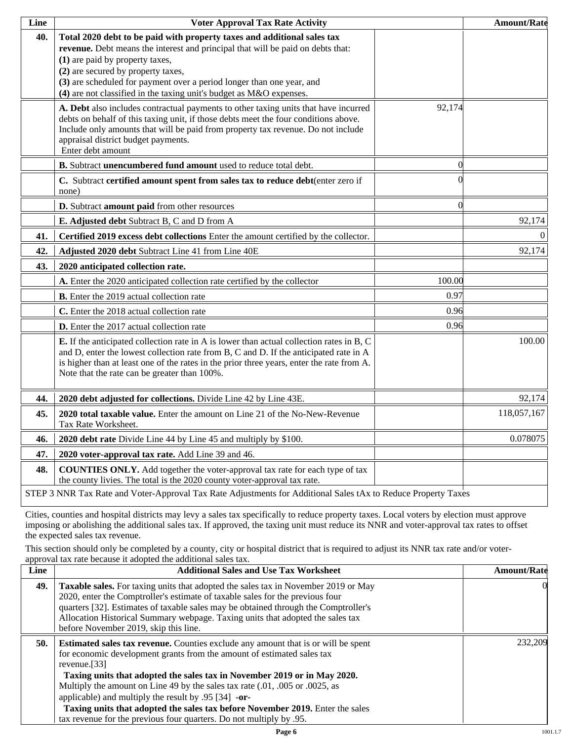| Line | <b>Voter Approval Tax Rate Activity</b>                                                                                                                                                                                                                                                                                                                                               |          | <b>Amount/Rate</b> |
|------|---------------------------------------------------------------------------------------------------------------------------------------------------------------------------------------------------------------------------------------------------------------------------------------------------------------------------------------------------------------------------------------|----------|--------------------|
| 40.  | Total 2020 debt to be paid with property taxes and additional sales tax<br>revenue. Debt means the interest and principal that will be paid on debts that:<br>(1) are paid by property taxes,<br>(2) are secured by property taxes,<br>(3) are scheduled for payment over a period longer than one year, and<br>$(4)$ are not classified in the taxing unit's budget as M&O expenses. |          |                    |
|      | A. Debt also includes contractual payments to other taxing units that have incurred<br>debts on behalf of this taxing unit, if those debts meet the four conditions above.<br>Include only amounts that will be paid from property tax revenue. Do not include<br>appraisal district budget payments.<br>Enter debt amount                                                            | 92,174   |                    |
|      | B. Subtract unencumbered fund amount used to reduce total debt.                                                                                                                                                                                                                                                                                                                       | $\Omega$ |                    |
|      | C. Subtract certified amount spent from sales tax to reduce debt(enter zero if<br>none)                                                                                                                                                                                                                                                                                               |          |                    |
|      | D. Subtract amount paid from other resources                                                                                                                                                                                                                                                                                                                                          | $\Omega$ |                    |
|      | E. Adjusted debt Subtract B, C and D from A                                                                                                                                                                                                                                                                                                                                           |          | 92,174             |
| 41.  | Certified 2019 excess debt collections Enter the amount certified by the collector.                                                                                                                                                                                                                                                                                                   |          | $\overline{0}$     |
| 42.  | Adjusted 2020 debt Subtract Line 41 from Line 40E                                                                                                                                                                                                                                                                                                                                     |          | 92,174             |
| 43.  | 2020 anticipated collection rate.                                                                                                                                                                                                                                                                                                                                                     |          |                    |
|      | A. Enter the 2020 anticipated collection rate certified by the collector                                                                                                                                                                                                                                                                                                              | 100.00   |                    |
|      | <b>B.</b> Enter the 2019 actual collection rate                                                                                                                                                                                                                                                                                                                                       | 0.97     |                    |
|      | C. Enter the 2018 actual collection rate                                                                                                                                                                                                                                                                                                                                              | 0.96     |                    |
|      | D. Enter the 2017 actual collection rate                                                                                                                                                                                                                                                                                                                                              | 0.96     |                    |
|      | <b>E.</b> If the anticipated collection rate in A is lower than actual collection rates in B, C<br>and D, enter the lowest collection rate from B, C and D. If the anticipated rate in A<br>is higher than at least one of the rates in the prior three years, enter the rate from A.<br>Note that the rate can be greater than 100%.                                                 |          | 100.00             |
| 44.  | 2020 debt adjusted for collections. Divide Line 42 by Line 43E.                                                                                                                                                                                                                                                                                                                       |          | 92,174             |
| 45.  | 2020 total taxable value. Enter the amount on Line 21 of the No-New-Revenue<br>Tax Rate Worksheet.                                                                                                                                                                                                                                                                                    |          | 118,057,167        |
| 46.  | 2020 debt rate Divide Line 44 by Line 45 and multiply by \$100.                                                                                                                                                                                                                                                                                                                       |          | 0.078075           |
| 47.  | 2020 voter-approval tax rate. Add Line 39 and 46.                                                                                                                                                                                                                                                                                                                                     |          |                    |
| 48.  | <b>COUNTIES ONLY.</b> Add together the voter-approval tax rate for each type of tax<br>the county livies. The total is the 2020 county voter-approval tax rate.                                                                                                                                                                                                                       |          |                    |
|      | STEP 3 NNR Tax Rate and Voter-Approval Tax Rate Adjustments for Additional Sales tAx to Reduce Property Taxes                                                                                                                                                                                                                                                                         |          |                    |

Cities, counties and hospital districts may levy a sales tax specifically to reduce property taxes. Local voters by election must approve imposing or abolishing the additional sales tax. If approved, the taxing unit must reduce its NNR and voter-approval tax rates to offset the expected sales tax revenue.

This section should only be completed by a county, city or hospital district that is required to adjust its NNR tax rate and/or voterapproval tax rate because it adopted the additional sales tax.

| Line | <b>Additional Sales and Use Tax Worksheet</b>                                                                                                                                                                                                                                                                                                                                                | <b>Amount/Rate</b> |
|------|----------------------------------------------------------------------------------------------------------------------------------------------------------------------------------------------------------------------------------------------------------------------------------------------------------------------------------------------------------------------------------------------|--------------------|
| 49.  | <b>Taxable sales.</b> For taxing units that adopted the sales tax in November 2019 or May<br>2020, enter the Comptroller's estimate of taxable sales for the previous four<br>quarters [32]. Estimates of taxable sales may be obtained through the Comptroller's<br>Allocation Historical Summary webpage. Taxing units that adopted the sales tax<br>before November 2019, skip this line. |                    |
| 50.  | <b>Estimated sales tax revenue.</b> Counties exclude any amount that is or will be spent<br>for economic development grants from the amount of estimated sales tax<br>revenue.[33]<br>Taxing units that adopted the sales tax in November 2019 or in May 2020.<br>Multiply the amount on Line 49 by the sales tax rate (.01, .005 or .0025, as                                               | 232.209            |
|      | applicable) and multiply the result by $.95$ [34] -or-<br>Taxing units that adopted the sales tax before November 2019. Enter the sales<br>tax revenue for the previous four quarters. Do not multiply by .95.                                                                                                                                                                               |                    |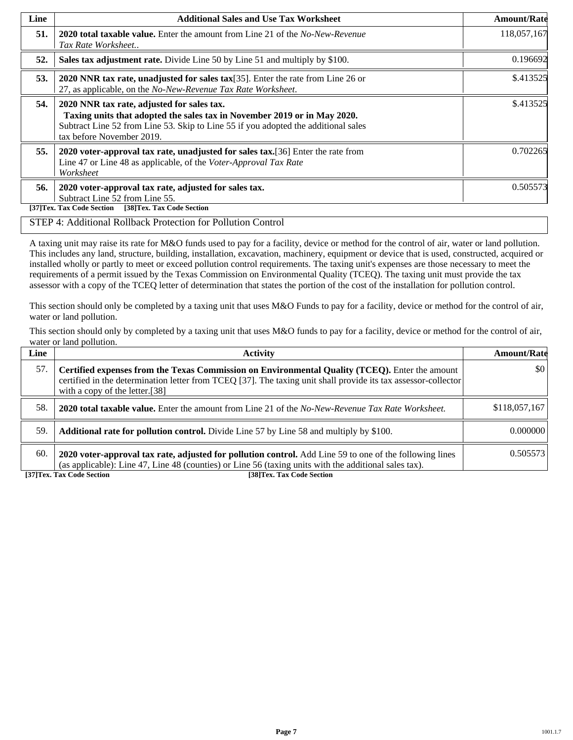| Line | <b>Additional Sales and Use Tax Worksheet</b>                                                                                                                                                                                             | <b>Amount/Rate</b> |
|------|-------------------------------------------------------------------------------------------------------------------------------------------------------------------------------------------------------------------------------------------|--------------------|
| 51.  | <b>2020 total taxable value.</b> Enter the amount from Line 21 of the No-New-Revenue<br>Tax Rate Worksheet                                                                                                                                | 118,057,167        |
| 52.  | Sales tax adjustment rate. Divide Line 50 by Line 51 and multiply by \$100.                                                                                                                                                               | 0.196692           |
| 53.  | 2020 NNR tax rate, unadjusted for sales tax[35]. Enter the rate from Line 26 or<br>27, as applicable, on the No-New-Revenue Tax Rate Worksheet.                                                                                           | \$.413525          |
| 54.  | 2020 NNR tax rate, adjusted for sales tax.<br>Taxing units that adopted the sales tax in November 2019 or in May 2020.<br>Subtract Line 52 from Line 53. Skip to Line 55 if you adopted the additional sales<br>tax before November 2019. | \$.413525          |
| 55.  | 2020 voter-approval tax rate, unadjusted for sales tax. [36] Enter the rate from<br>Line 47 or Line 48 as applicable, of the Voter-Approval Tax Rate<br>Worksheet                                                                         | 0.702265           |
| 56.  | 2020 voter-approval tax rate, adjusted for sales tax.<br>Subtract Line 52 from Line 55.<br>[38]Tex. Tax Code Section<br>[37]Tex. Tax Code Section                                                                                         | 0.505573           |

#### STEP 4: Additional Rollback Protection for Pollution Control

A taxing unit may raise its rate for M&O funds used to pay for a facility, device or method for the control of air, water or land pollution. This includes any land, structure, building, installation, excavation, machinery, equipment or device that is used, constructed, acquired or installed wholly or partly to meet or exceed pollution control requirements. The taxing unit's expenses are those necessary to meet the requirements of a permit issued by the Texas Commission on Environmental Quality (TCEQ). The taxing unit must provide the tax assessor with a copy of the TCEQ letter of determination that states the portion of the cost of the installation for pollution control.

This section should only be completed by a taxing unit that uses M&O Funds to pay for a facility, device or method for the control of air, water or land pollution.

This section should only by completed by a taxing unit that uses M&O funds to pay for a facility, device or method for the control of air, water or land pollution.

| Line | <b>Activity</b>                                                                                                                                                                                                                                    | <b>Amount/Rate</b>      |
|------|----------------------------------------------------------------------------------------------------------------------------------------------------------------------------------------------------------------------------------------------------|-------------------------|
| 57.  | Certified expenses from the Texas Commission on Environmental Quality (TCEQ). Enter the amount<br>certified in the determination letter from TCEQ [37]. The taxing unit shall provide its tax assessor-collector<br>with a copy of the letter.[38] | $\vert \$\text{0}\vert$ |
| 58.  | <b>2020 total taxable value.</b> Enter the amount from Line 21 of the No-New-Revenue Tax Rate Worksheet.                                                                                                                                           | \$118,057,167           |
| 59.  | <b>Additional rate for pollution control.</b> Divide Line 57 by Line 58 and multiply by \$100.                                                                                                                                                     | 0.000000                |
| 60.  | 2020 voter-approval tax rate, adjusted for pollution control. Add Line 59 to one of the following lines<br>(as applicable): Line 47, Line 48 (counties) or Line 56 (taxing units with the additional sales tax).                                   | 0.505573                |

**[37]Tex. Tax Code Section [38]Tex. Tax Code Section**